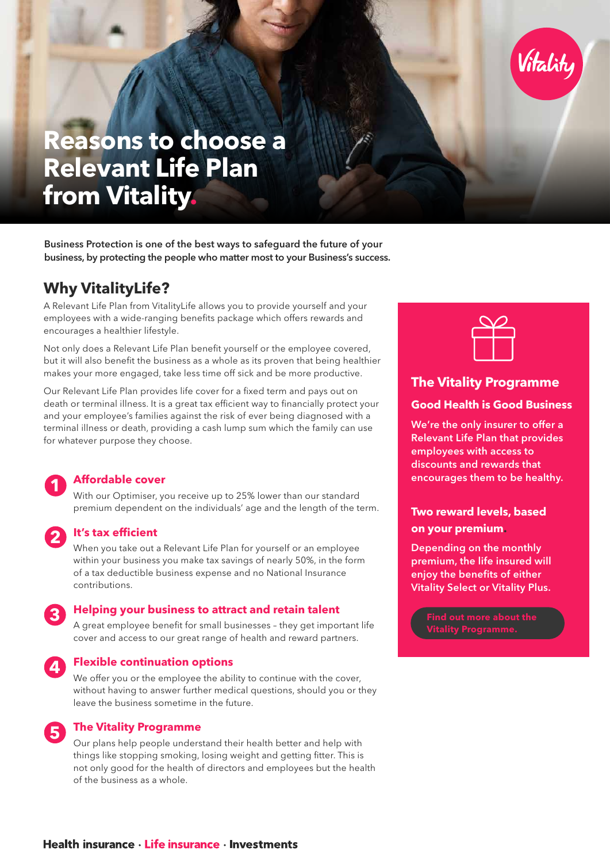

# **Reasons to choose a Relevant Life Plan from Vitality.**

Business Protection is one of the best ways to safeguard the future of your business, by protecting the people who matter most to your Business's success.

### **Why VitalityLife?**

A Relevant Life Plan from VitalityLife allows you to provide yourself and your employees with a wide-ranging benefits package which offers rewards and encourages a healthier lifestyle.

Not only does a Relevant Life Plan benefit yourself or the employee covered, but it will also benefit the business as a whole as its proven that being healthier makes your more engaged, take less time off sick and be more productive.

Our Relevant Life Plan provides life cover for a fixed term and pays out on death or terminal illness. It is a great tax efficient way to financially protect your and your employee's families against the risk of ever being diagnosed with a terminal illness or death, providing a cash lump sum which the family can use for whatever purpose they choose.

#### **Affordable cover**

With our Optimiser, you receive up to 25% lower than our standard premium dependent on the individuals' age and the length of the term.

**2**

#### **It's tax efficient**

When you take out a Relevant Life Plan for yourself or an employee within your business you make tax savings of nearly 50%, in the form of a tax deductible business expense and no National Insurance contributions.

## **3**

**1**

#### **Helping your business to attract and retain talent**

A great employee benefit for small businesses – they get important life cover and access to our great range of health and reward partners.

### **4**

**5**

#### **Flexible continuation options**

We offer you or the employee the ability to continue with the cover, without having to answer further medical questions, should you or they leave the business sometime in the future.

#### **The Vitality Programme**

Our plans help people understand their health better and help with things like stopping smoking, losing weight and getting fitter. This is not only good for the health of directors and employees but the health of the business as a whole.



#### **The Vitality Programme**

#### **Good Health is Good Business**

We're the only insurer to offer a Relevant Life Plan that provides employees with access to discounts and rewards that encourages them to be healthy.

#### **Two reward levels, based on your premium.**

Depending on the monthly premium, the life insured will enjoy the benefits of either Vitality Select or Vitality Plus.

**[Vitality Programme.](https://adviser.vitality.co.uk/adviser.vitality.co.uk/media-online/advisers/literature/life/discounts-rewards/discounts-rewards.pdf)**